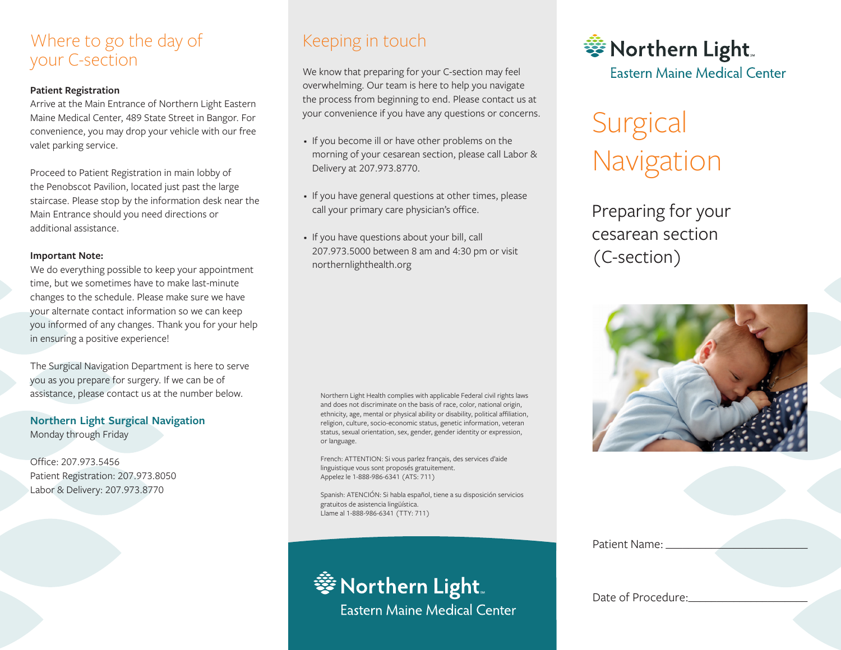### Where to go the day of your C-section

### **Patient Registration**

Arrive at the Main Entrance of Northern Light Eastern Maine Medical Center, 489 State Street in Bangor. For convenience, you may drop your vehicle with our free valet parking service.

Proceed to Patient Registration in main lobby of the Penobscot Pavilion, located just past the large staircase. Please stop by the information desk near the Main Entrance should you need directions or additional assistance.

### **Important Note:**

We do everything possible to keep your appointment time, but we sometimes have to make last-minute changes to the schedule. Please make sure we have your alternate contact information so we can keep you informed of any changes. Thank you for your help in ensuring a positive experience!

The Surgical Navigation Department is here to serve you as you prepare for surgery. If we can be of assistance, please contact us at the number below.

**Northern Light Surgical Navigation** Monday through Friday

Office: 207.973.5456 Patient Registration: 207.973.8050 Labor & Delivery: 207.973.8770

### Keeping in touch

We know that preparing for your C-section may feel overwhelming. Our team is here to help you navigate the process from beginning to end. Please contact us at your convenience if you have any questions or concerns.

- anim id est laborum. • If you become ill or have other problems on the morning of your cesarean section, please call Labor & Delivery at 207.973.8770.
- If you have general questions at other times, please call your primary care physician's office. amet, consectetur adipiscing elit, sed do eiusmod
- If you have questions about your bill, call 207.973.5000 between 8 am and 4:30 pm or visit northernlighthealth.org Duis aute irure dolor in reprehenderit in voluptate

Northern Light Health complies with applicable Federal civil rights laws and does not discriminate on the basis of race, color, national origin, ethnicity, age, mental or physical ability or disability, political affiliation, religion, culture, socio-economic status, genetic information, veteran status, sexual orientation, sex, gender, gender identity or expression,

French: ATTENTION: Si vous parlez français, des services d'aide

Spanish: ATENCIÓN: Si habla español, tiene a su disposición servicios

linguistique vous sont proposés gratuitement. Appelez le 1-888-986-6341 (ATS: 711)

gratuitos de asistencia lingüística. Llame al 1-888-986-6341 (TTY: 711)

or language.

• Northern Light **Fastern Maine Medical Center** 

# **Surgical** Navigation

Preparing for your cesarean section (C-section)



Patient Name:

Date of Procedure:

# 

**Eastern Maine Medical Center**